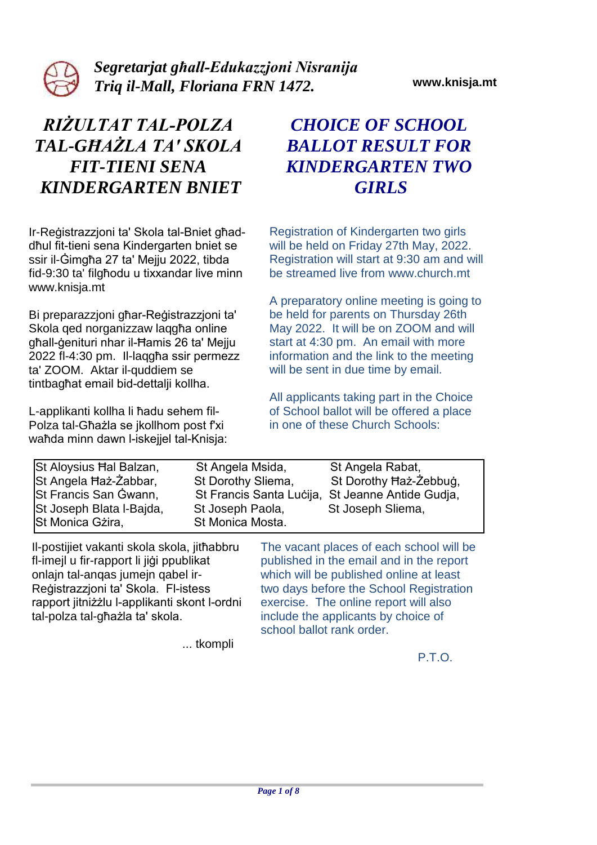

*Segretarjat għall-Edukazzjoni Nisranija Triq il-Mall, Floriana FRN 1472.* **www.knisja.mt**

# *RIŻULTAT TAL-POLZA TAL-GĦAŻLA TA' SKOLA FIT-TIENI SENA KINDERGARTEN BNIET*

Ir-Reġistrazzjoni ta' Skola tal-Bniet għaddħul fit-tieni sena Kindergarten bniet se ssir il-Ġimgħa 27 ta' Mejju 2022, tibda fid-9:30 ta' filgħodu u tixxandar live minn www.knisja.mt

Bi preparazzjoni għar-Reġistrazzjoni ta' Skola qed norganizzaw laqgħa online għall-ġenituri nhar il-Ħamis 26 ta' Mejju 2022 fl-4:30 pm. Il-laqgħa ssir permezz ta' ZOOM. Aktar il-quddiem se tintbagħat email bid-dettalji kollha.

L-applikanti kollha li ħadu sehem fil-Polza tal-Għażla se jkollhom post f'xi waħda minn dawn l-iskejjel tal-Knisja:

# *CHOICE OF SCHOOL BALLOT RESULT FOR KINDERGARTEN TWO GIRLS*

Registration of Kindergarten two girls will be held on Friday 27th May, 2022. Registration will start at 9:30 am and will be streamed live from www.church.mt

A preparatory online meeting is going to be held for parents on Thursday 26th May 2022. It will be on ZOOM and will start at 4:30 pm. An email with more information and the link to the meeting will be sent in due time by email.

All applicants taking part in the Choice of School ballot will be offered a place in one of these Church Schools:

published in the email and in the report which will be published online at least two days before the School Registration exercise. The online report will also

| St Aloysius Hal Balzan,<br>St Angela Haz-Zabbar,<br>St Francis San Gwann,<br>St Joseph Blata I-Bajda,<br>St Monica Gzira, | St Angela Msida,<br>St Dorothy Sliema,<br>St Joseph Paola,<br>St Monica Mosta. | St Angela Rabat,<br>St Dorothy Haż-Żebbug,<br>St Francis Santa Lucija, St Jeanne Antide Gudja,<br>St Joseph Sliema, |
|---------------------------------------------------------------------------------------------------------------------------|--------------------------------------------------------------------------------|---------------------------------------------------------------------------------------------------------------------|
| II-postijiet vakanti skola skola, jithabbru                                                                               |                                                                                | The vacant places of each school will be                                                                            |

Il-postijiet vakanti skola skola, jitħabbru fl-imejl u fir-rapport li jiġi ppublikat onlajn tal-anqas jumejn qabel ir-Reġistrazzjoni ta' Skola. Fl-istess rapport jitniżżlu l-applikanti skont l-ordni tal-polza tal-għażla ta' skola.

include the applicants by choice of school ballot rank order. ... tkompli

P.T.O.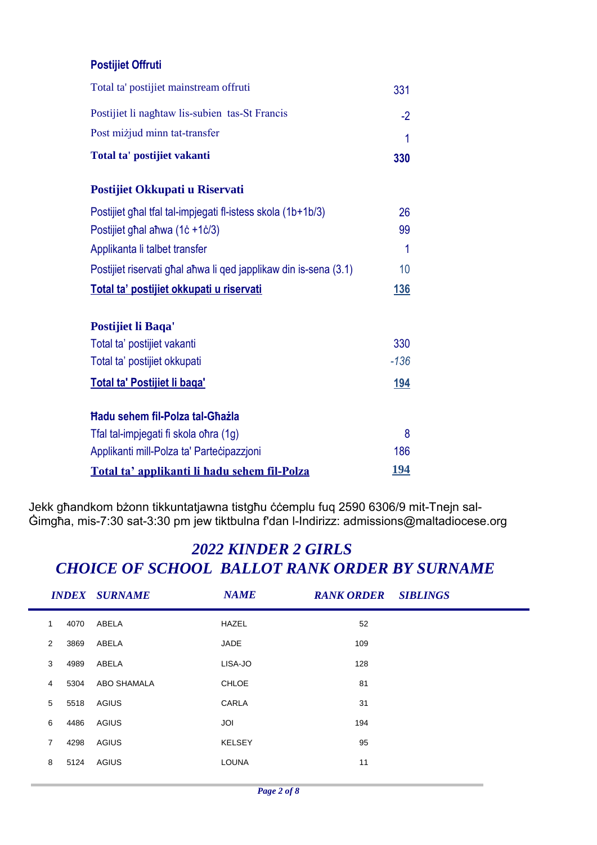#### **Postijiet Offruti**

| Total ta' postijiet vakanti                    | 330 |
|------------------------------------------------|-----|
| Post miżjud minn tat-transfer                  |     |
| Postijiet li naghtaw lis-subien tas-St Francis |     |
| Total ta' postijiet mainstream offruti         | 331 |

#### **Postijiet Okkupati u Riservati**

| Postijiet ghal tfal tal-impjegati fl-istess skola (1b+1b/3)      | 26          |  |  |  |
|------------------------------------------------------------------|-------------|--|--|--|
| Postijiet ghal ahwa (1c +1c/3)                                   | 99          |  |  |  |
| Applikanta li talbet transfer                                    | 1           |  |  |  |
| Postijiet riservati ghal ahwa li qed japplikaw din is-sena (3.1) | 10          |  |  |  |
| Total ta' postijiet okkupati u riservati                         | <b>136</b>  |  |  |  |
| Postijiet li Baqa'                                               |             |  |  |  |
| Total ta' postijiet vakanti                                      | 330         |  |  |  |
| Total ta' postijiet okkupati                                     | $-136$      |  |  |  |
| Total ta' Postijiet li baga'                                     |             |  |  |  |
| <b>Hadu sehem fil-Polza tal-Ghazla</b>                           |             |  |  |  |
| Tfal tal-impjegati fi skola ohra (1g)                            | 8           |  |  |  |
| Applikanti mill-Polza ta' Partecipazzioni                        | 186         |  |  |  |
| Total ta' applikanti li hadu sehem fil-Polza                     | <u> 194</u> |  |  |  |

Jekk għandkom bżonn tikkuntatjawna tistgħu ċċemplu fuq 2590 6306/9 mit-Tnejn sal-Ġimgħa, mis-7:30 sat-3:30 pm jew tiktbulna f'dan l-Indirizz: admissions@maltadiocese.org

|                |      | <b>INDEX SURNAME</b> | <b>NAME</b>   | <b>RANK ORDER SIBLINGS</b> |  |
|----------------|------|----------------------|---------------|----------------------------|--|
| 1              | 4070 | ABELA                | HAZEL         | 52                         |  |
| 2              | 3869 | ABELA                | JADE          | 109                        |  |
| 3              | 4989 | ABELA                | LISA-JO       | 128                        |  |
| 4              | 5304 | ABO SHAMALA          | <b>CHLOE</b>  | 81                         |  |
| 5              | 5518 | AGIUS                | CARLA         | 31                         |  |
| 6              | 4486 | AGIUS                | JOI           | 194                        |  |
| $\overline{7}$ | 4298 | AGIUS                | <b>KELSEY</b> | 95                         |  |
| 8              | 5124 | AGIUS                | <b>LOUNA</b>  | 11                         |  |
|                |      |                      |               |                            |  |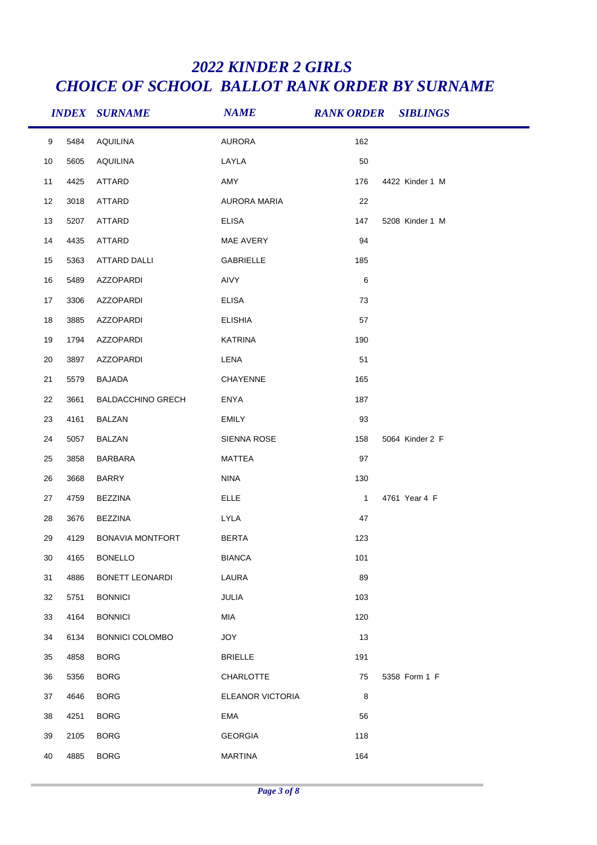|    |      | <b>INDEX SURNAME</b>     | <b>NAME</b>         | <b>RANK ORDER SIBLINGS</b> |                 |
|----|------|--------------------------|---------------------|----------------------------|-----------------|
| 9  | 5484 | <b>AQUILINA</b>          | <b>AURORA</b>       | 162                        |                 |
| 10 | 5605 | <b>AQUILINA</b>          | LAYLA               | 50                         |                 |
| 11 | 4425 | ATTARD                   | AMY                 | 176                        | 4422 Kinder 1 M |
| 12 | 3018 | ATTARD                   | <b>AURORA MARIA</b> | 22                         |                 |
| 13 | 5207 | <b>ATTARD</b>            | <b>ELISA</b>        | 147                        | 5208 Kinder 1 M |
| 14 | 4435 | ATTARD                   | MAE AVERY           | 94                         |                 |
| 15 | 5363 | ATTARD DALLI             | GABRIELLE           | 185                        |                 |
| 16 | 5489 | AZZOPARDI                | AIVY                | 6                          |                 |
| 17 | 3306 | AZZOPARDI                | <b>ELISA</b>        | 73                         |                 |
| 18 | 3885 | AZZOPARDI                | <b>ELISHIA</b>      | 57                         |                 |
| 19 | 1794 | AZZOPARDI                | <b>KATRINA</b>      | 190                        |                 |
| 20 | 3897 | AZZOPARDI                | LENA                | 51                         |                 |
| 21 | 5579 | <b>BAJADA</b>            | CHAYENNE            | 165                        |                 |
| 22 | 3661 | <b>BALDACCHINO GRECH</b> | ENYA                | 187                        |                 |
| 23 | 4161 | BALZAN                   | <b>EMILY</b>        | 93                         |                 |
| 24 | 5057 | BALZAN                   | SIENNA ROSE         | 158                        | 5064 Kinder 2 F |
| 25 | 3858 | BARBARA                  | MATTEA              | 97                         |                 |
| 26 | 3668 | <b>BARRY</b>             | <b>NINA</b>         | 130                        |                 |
| 27 | 4759 | BEZZINA                  | <b>ELLE</b>         | $\mathbf{1}$               | 4761 Year 4 F   |
| 28 | 3676 | <b>BEZZINA</b>           | LYLA                | 47                         |                 |
| 29 | 4129 | BONAVIA MONTFORT         | <b>BERTA</b>        | 123                        |                 |
| 30 | 4165 | <b>BONELLO</b>           | <b>BIANCA</b>       | 101                        |                 |
| 31 | 4886 | BONETT LEONARDI          | LAURA               | 89                         |                 |
| 32 | 5751 | <b>BONNICI</b>           | JULIA               | 103                        |                 |
| 33 | 4164 | <b>BONNICI</b>           | MIA                 | 120                        |                 |
| 34 | 6134 | <b>BONNICI COLOMBO</b>   | <b>JOY</b>          | 13                         |                 |
| 35 | 4858 | <b>BORG</b>              | <b>BRIELLE</b>      | 191                        |                 |
| 36 | 5356 | <b>BORG</b>              | CHARLOTTE           | 75                         | 5358 Form 1 F   |
| 37 | 4646 | <b>BORG</b>              | ELEANOR VICTORIA    | 8                          |                 |
| 38 | 4251 | <b>BORG</b>              | <b>EMA</b>          | 56                         |                 |
| 39 | 2105 | <b>BORG</b>              | <b>GEORGIA</b>      | 118                        |                 |
| 40 | 4885 | <b>BORG</b>              | <b>MARTINA</b>      | 164                        |                 |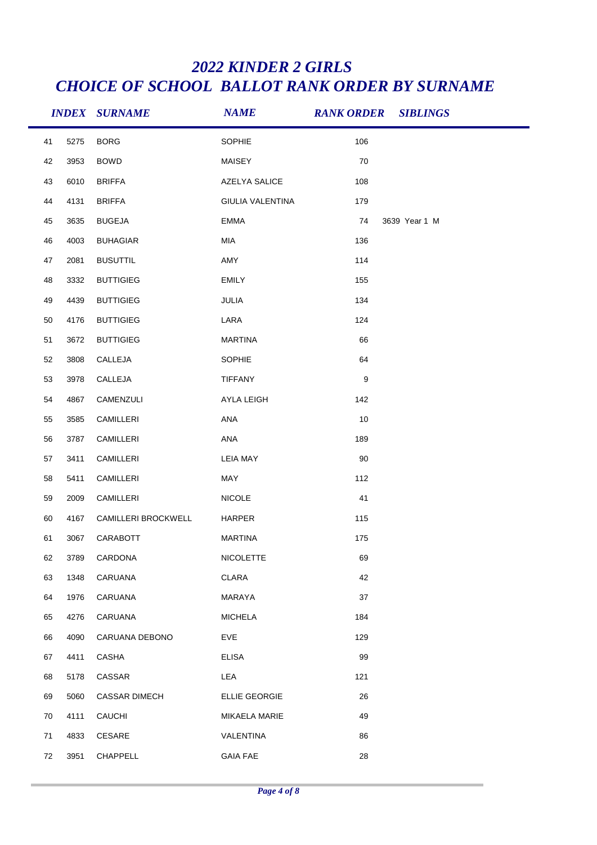|    |      | <b>INDEX SURNAME</b> | <b>NAME</b>      | <b>RANK ORDER SIBLINGS</b> |
|----|------|----------------------|------------------|----------------------------|
| 41 | 5275 | <b>BORG</b>          | SOPHIE           | 106                        |
| 42 | 3953 | <b>BOWD</b>          | MAISEY           | 70                         |
| 43 | 6010 | <b>BRIFFA</b>        | AZELYA SALICE    | 108                        |
| 44 | 4131 | <b>BRIFFA</b>        | GIULIA VALENTINA | 179                        |
| 45 | 3635 | <b>BUGEJA</b>        | <b>EMMA</b>      | 3639 Year 1 M<br>74        |
| 46 | 4003 | <b>BUHAGIAR</b>      | MIA              | 136                        |
| 47 | 2081 | <b>BUSUTTIL</b>      | AMY              | 114                        |
| 48 | 3332 | <b>BUTTIGIEG</b>     | <b>EMILY</b>     | 155                        |
| 49 | 4439 | <b>BUTTIGIEG</b>     | JULIA            | 134                        |
| 50 | 4176 | <b>BUTTIGIEG</b>     | LARA             | 124                        |
| 51 | 3672 | <b>BUTTIGIEG</b>     | <b>MARTINA</b>   | 66                         |
| 52 | 3808 | CALLEJA              | SOPHIE           | 64                         |
| 53 | 3978 | CALLEJA              | <b>TIFFANY</b>   | $\boldsymbol{9}$           |
| 54 | 4867 | CAMENZULI            | AYLA LEIGH       | 142                        |
| 55 | 3585 | CAMILLERI            | ANA              | 10                         |
| 56 | 3787 | CAMILLERI            | ANA              | 189                        |
| 57 | 3411 | CAMILLERI            | <b>LEIA MAY</b>  | 90                         |
| 58 | 5411 | CAMILLERI            | MAY              | 112                        |
| 59 | 2009 | CAMILLERI            | <b>NICOLE</b>    | 41                         |
| 60 | 4167 | CAMILLERI BROCKWELL  | HARPER           | 115                        |
| 61 | 3067 | CARABOTT             | <b>MARTINA</b>   | 175                        |
| 62 | 3789 | CARDONA              | <b>NICOLETTE</b> | 69                         |
| 63 | 1348 | CARUANA              | CLARA            | 42                         |
| 64 | 1976 | CARUANA              | MARAYA           | 37                         |
| 65 | 4276 | CARUANA              | <b>MICHELA</b>   | 184                        |
| 66 | 4090 | CARUANA DEBONO       | EVE              | 129                        |
| 67 | 4411 | CASHA                | <b>ELISA</b>     | 99                         |
| 68 | 5178 | CASSAR               | LEA              | 121                        |
| 69 | 5060 | <b>CASSAR DIMECH</b> | ELLIE GEORGIE    | 26                         |
| 70 | 4111 | CAUCHI               | MIKAELA MARIE    | 49                         |
| 71 | 4833 | CESARE               | VALENTINA        | 86                         |
| 72 | 3951 | CHAPPELL             | <b>GAIA FAE</b>  | 28                         |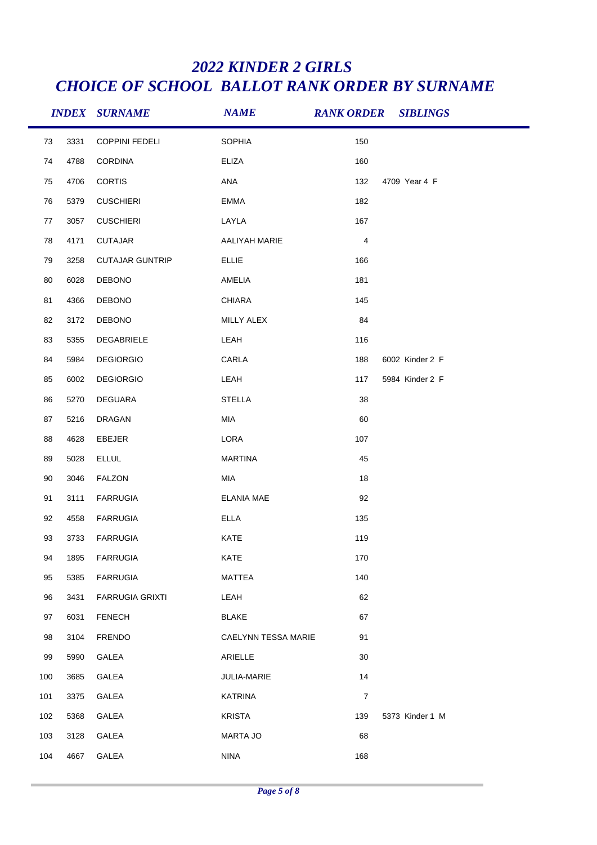|     |      | <b>INDEX SURNAME</b>   | <b>NAME</b>                | <b>RANK ORDER SIBLINGS</b> |                 |
|-----|------|------------------------|----------------------------|----------------------------|-----------------|
| 73  | 3331 | <b>COPPINI FEDELI</b>  | SOPHIA                     | 150                        |                 |
| 74  | 4788 | <b>CORDINA</b>         | <b>ELIZA</b>               | 160                        |                 |
| 75  | 4706 | <b>CORTIS</b>          | ANA                        | 132                        | 4709 Year 4 F   |
| 76  | 5379 | <b>CUSCHIERI</b>       | <b>EMMA</b>                | 182                        |                 |
| 77  | 3057 | <b>CUSCHIERI</b>       | LAYLA                      | 167                        |                 |
| 78  | 4171 | <b>CUTAJAR</b>         | AALIYAH MARIE              | $\sqrt{4}$                 |                 |
| 79  | 3258 | <b>CUTAJAR GUNTRIP</b> | <b>ELLIE</b>               | 166                        |                 |
| 80  | 6028 | DEBONO                 | AMELIA                     | 181                        |                 |
| 81  | 4366 | <b>DEBONO</b>          | <b>CHIARA</b>              | 145                        |                 |
| 82  | 3172 | DEBONO                 | MILLY ALEX                 | 84                         |                 |
| 83  | 5355 | DEGABRIELE             | LEAH                       | 116                        |                 |
| 84  | 5984 | <b>DEGIORGIO</b>       | CARLA                      | 188                        | 6002 Kinder 2 F |
| 85  | 6002 | <b>DEGIORGIO</b>       | LEAH                       | 117                        | 5984 Kinder 2 F |
| 86  | 5270 | DEGUARA                | <b>STELLA</b>              | 38                         |                 |
| 87  | 5216 | DRAGAN                 | MIA                        | 60                         |                 |
| 88  | 4628 | EBEJER                 | LORA                       | 107                        |                 |
| 89  | 5028 | <b>ELLUL</b>           | <b>MARTINA</b>             | 45                         |                 |
| 90  | 3046 | <b>FALZON</b>          | MIA                        | 18                         |                 |
| 91  | 3111 | <b>FARRUGIA</b>        | <b>ELANIA MAE</b>          | 92                         |                 |
| 92  | 4558 | <b>FARRUGIA</b>        | <b>ELLA</b>                | 135                        |                 |
| 93  | 3733 | <b>FARRUGIA</b>        | KATE                       | 119                        |                 |
| 94  | 1895 | <b>FARRUGIA</b>        | KATE                       | 170                        |                 |
| 95  | 5385 | <b>FARRUGIA</b>        | <b>MATTEA</b>              | 140                        |                 |
| 96  | 3431 | <b>FARRUGIA GRIXTI</b> | LEAH                       | 62                         |                 |
| 97  | 6031 | <b>FENECH</b>          | <b>BLAKE</b>               | 67                         |                 |
| 98  | 3104 | <b>FRENDO</b>          | <b>CAELYNN TESSA MARIE</b> | 91                         |                 |
| 99  | 5990 | GALEA                  | ARIELLE                    | 30                         |                 |
| 100 | 3685 | GALEA                  | JULIA-MARIE                | 14                         |                 |
| 101 | 3375 | GALEA                  | <b>KATRINA</b>             | $\overline{7}$             |                 |
| 102 | 5368 | GALEA                  | <b>KRISTA</b>              | 139                        | 5373 Kinder 1 M |
| 103 | 3128 | GALEA                  | <b>MARTA JO</b>            | 68                         |                 |
| 104 | 4667 | GALEA                  | <b>NINA</b>                | 168                        |                 |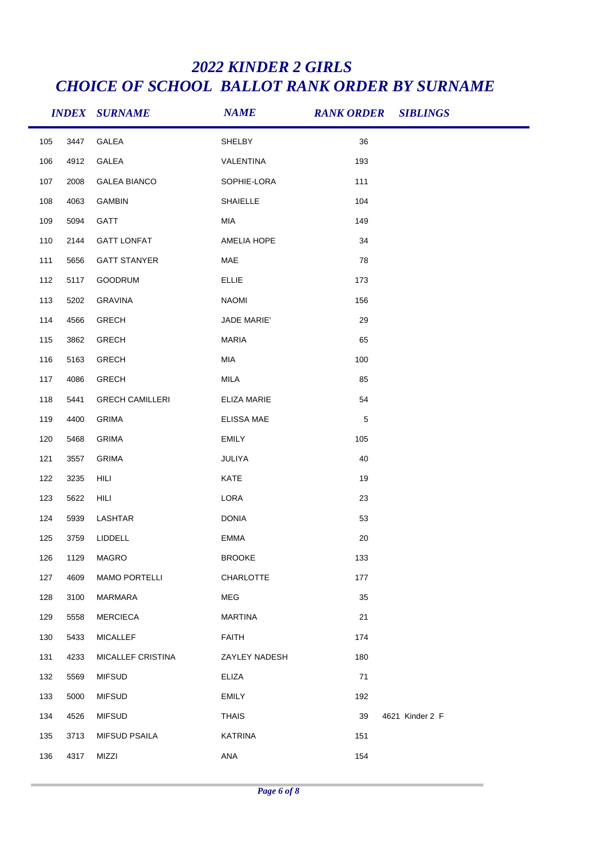|     |      | <b>INDEX SURNAME</b>   | <b>NAME</b>        | <b>RANK ORDER SIBLINGS</b> |                 |
|-----|------|------------------------|--------------------|----------------------------|-----------------|
| 105 | 3447 | GALEA                  | SHELBY             | 36                         |                 |
| 106 | 4912 | GALEA                  | VALENTINA          | 193                        |                 |
| 107 | 2008 | <b>GALEA BIANCO</b>    | SOPHIE-LORA        | 111                        |                 |
| 108 | 4063 | GAMBIN                 | SHAIELLE           | 104                        |                 |
| 109 | 5094 | GATT                   | MIA                | 149                        |                 |
| 110 | 2144 | <b>GATT LONFAT</b>     | AMELIA HOPE        | 34                         |                 |
| 111 | 5656 | <b>GATT STANYER</b>    | MAE                | 78                         |                 |
| 112 | 5117 | GOODRUM                | <b>ELLIE</b>       | 173                        |                 |
| 113 | 5202 | <b>GRAVINA</b>         | <b>NAOMI</b>       | 156                        |                 |
| 114 | 4566 | <b>GRECH</b>           | JADE MARIE'        | 29                         |                 |
| 115 | 3862 | <b>GRECH</b>           | <b>MARIA</b>       | 65                         |                 |
| 116 | 5163 | <b>GRECH</b>           | MIA                | 100                        |                 |
| 117 | 4086 | <b>GRECH</b>           | MILA               | 85                         |                 |
| 118 | 5441 | <b>GRECH CAMILLERI</b> | <b>ELIZA MARIE</b> | 54                         |                 |
| 119 | 4400 | <b>GRIMA</b>           | ELISSA MAE         | $\,$ 5 $\,$                |                 |
| 120 | 5468 | <b>GRIMA</b>           | <b>EMILY</b>       | 105                        |                 |
| 121 | 3557 | <b>GRIMA</b>           | JULIYA             | 40                         |                 |
| 122 | 3235 | HILI                   | KATE               | 19                         |                 |
| 123 | 5622 | HILI                   | LORA               | 23                         |                 |
| 124 | 5939 | LASHTAR                | <b>DONIA</b>       | 53                         |                 |
| 125 | 3759 | LIDDELL                | <b>EMMA</b>        | 20                         |                 |
| 126 | 1129 | <b>MAGRO</b>           | <b>BROOKE</b>      | 133                        |                 |
| 127 | 4609 | <b>MAMO PORTELLI</b>   | <b>CHARLOTTE</b>   | 177                        |                 |
| 128 | 3100 | MARMARA                | MEG                | 35                         |                 |
| 129 | 5558 | <b>MERCIECA</b>        | <b>MARTINA</b>     | 21                         |                 |
| 130 | 5433 | <b>MICALLEF</b>        | <b>FAITH</b>       | 174                        |                 |
| 131 | 4233 | MICALLEF CRISTINA      | ZAYLEY NADESH      | 180                        |                 |
| 132 | 5569 | <b>MIFSUD</b>          | <b>ELIZA</b>       | 71                         |                 |
| 133 | 5000 | <b>MIFSUD</b>          | <b>EMILY</b>       | 192                        |                 |
| 134 | 4526 | <b>MIFSUD</b>          | <b>THAIS</b>       | 39                         | 4621 Kinder 2 F |
| 135 | 3713 | <b>MIFSUD PSAILA</b>   | <b>KATRINA</b>     | 151                        |                 |
| 136 | 4317 | MIZZI                  | ANA                | 154                        |                 |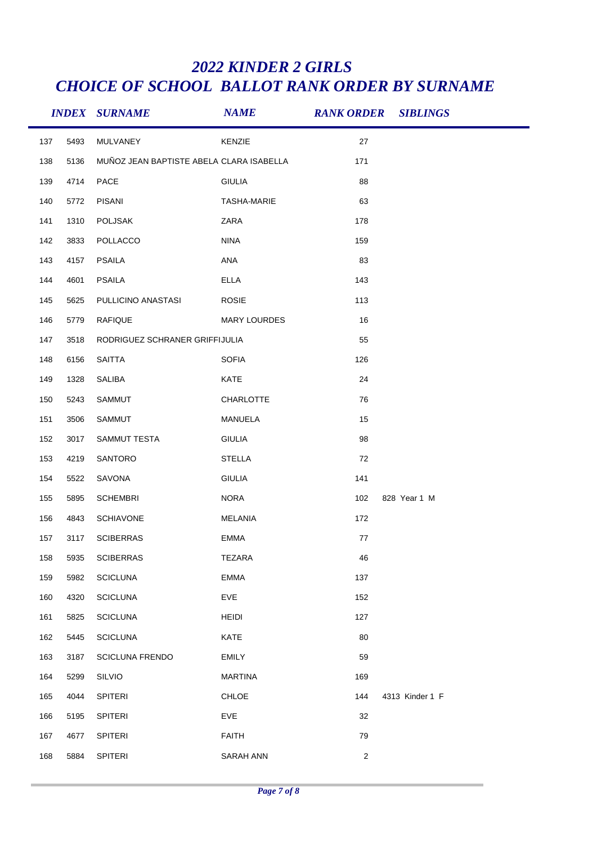|     |      | <b>INDEX SURNAME</b>                     | <b>NAME</b>         |            | <b>RANK ORDER SIBLINGS</b> |
|-----|------|------------------------------------------|---------------------|------------|----------------------------|
| 137 | 5493 | MULVANEY                                 | KENZIE              | 27         |                            |
| 138 | 5136 | MUÑOZ JEAN BAPTISTE ABELA CLARA ISABELLA |                     | 171        |                            |
| 139 | 4714 | PACE                                     | <b>GIULIA</b>       | 88         |                            |
| 140 | 5772 | <b>PISANI</b>                            | <b>TASHA-MARIE</b>  | 63         |                            |
| 141 | 1310 | POLJSAK                                  | ZARA                | 178        |                            |
| 142 | 3833 | POLLACCO                                 | <b>NINA</b>         | 159        |                            |
| 143 | 4157 | PSAILA                                   | ANA                 | 83         |                            |
| 144 | 4601 | <b>PSAILA</b>                            | <b>ELLA</b>         | 143        |                            |
| 145 | 5625 | PULLICINO ANASTASI                       | <b>ROSIE</b>        | 113        |                            |
| 146 | 5779 | <b>RAFIQUE</b>                           | <b>MARY LOURDES</b> | 16         |                            |
| 147 | 3518 | RODRIGUEZ SCHRANER GRIFFIJULIA           |                     | 55         |                            |
| 148 | 6156 | SAITTA                                   | <b>SOFIA</b>        | 126        |                            |
| 149 | 1328 | SALIBA                                   | KATE                | 24         |                            |
| 150 | 5243 | SAMMUT                                   | CHARLOTTE           | 76         |                            |
| 151 | 3506 | SAMMUT                                   | MANUELA             | 15         |                            |
| 152 | 3017 | SAMMUT TESTA                             | <b>GIULIA</b>       | 98         |                            |
| 153 | 4219 | SANTORO                                  | <b>STELLA</b>       | 72         |                            |
| 154 | 5522 | SAVONA                                   | <b>GIULIA</b>       | 141        |                            |
| 155 | 5895 | <b>SCHEMBRI</b>                          | <b>NORA</b>         | 102        | 828 Year 1 M               |
| 156 | 4843 | SCHIAVONE                                | <b>MELANIA</b>      | 172        |                            |
| 157 | 3117 | <b>SCIBERRAS</b>                         | <b>EMMA</b>         | 77         |                            |
| 158 | 5935 | <b>SCIBERRAS</b>                         | <b>TEZARA</b>       | 46         |                            |
| 159 | 5982 | <b>SCICLUNA</b>                          | <b>EMMA</b>         | 137        |                            |
| 160 | 4320 | <b>SCICLUNA</b>                          | EVE                 | 152        |                            |
| 161 | 5825 | <b>SCICLUNA</b>                          | <b>HEIDI</b>        | 127        |                            |
| 162 | 5445 | <b>SCICLUNA</b>                          | KATE                | 80         |                            |
| 163 | 3187 | <b>SCICLUNA FRENDO</b>                   | <b>EMILY</b>        | 59         |                            |
| 164 | 5299 | SILVIO                                   | <b>MARTINA</b>      | 169        |                            |
| 165 | 4044 | <b>SPITERI</b>                           | CHLOE               | 144        | 4313 Kinder 1 F            |
| 166 | 5195 | <b>SPITERI</b>                           | EVE                 | 32         |                            |
| 167 | 4677 | SPITERI                                  | <b>FAITH</b>        | 79         |                            |
| 168 | 5884 | <b>SPITERI</b>                           | SARAH ANN           | $\sqrt{2}$ |                            |